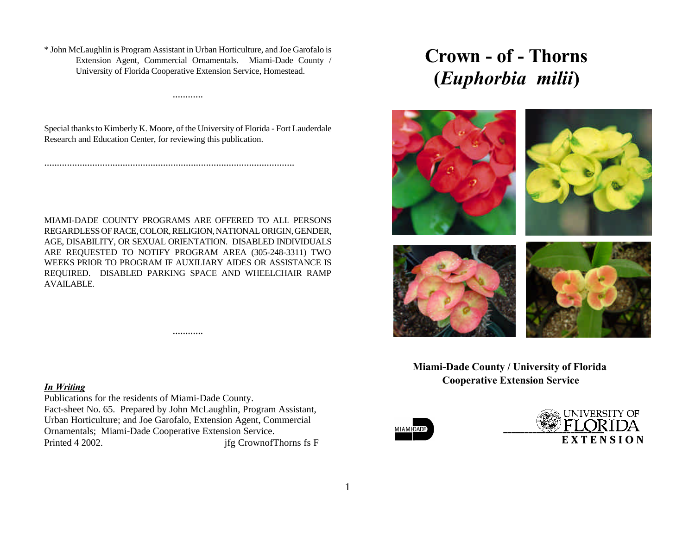\* John McLaughlin is Program Assistant in Urban Horticulture, and Joe Garofalo is Extension Agent, Commercial Ornamentals. Miami-Dade County / University of Florida Cooperative Extension Service, Homestead.

Special thanks to Kimberly K. Moore, of the University of Florida - Fort Lauderdale Research and Education Center, for reviewing this publication.

...................................................................................................

............

MIAMI-DADE COUNTY PROGRAMS ARE OFFERED TO ALL PERSONS REGARDLESS OF RACE, COLOR, RELIGION, NATIONAL ORIGIN, GENDER, AGE, DISABILITY, OR SEXUAL ORIENTATION. DISABLED INDIVIDUALS ARE REQUESTED TO NOTIFY PROGRAM AREA (305-248-3311) TWO WEEKS PRIOR TO PROGRAM IF AUXILIARY AIDES OR ASSISTANCE IS REQUIRED. DISABLED PARKING SPACE AND WHEELCHAIR RAMP AVAILABLE.

............

#### *In Writing*

Publications for the residents of Miami-Dade County. Fact-sheet No. 65. Prepared by John McLaughlin, Program Assistant, Urban Horticulture; and Joe Garofalo, Extension Agent, Commercial Ornamentals; Miami-Dade Cooperative Extension Service. Printed 4 2002. jfg CrownofThorns fs F

# **Crown - of - Thorns (***Euphorbia milii***)**



 **Miami-Dade County / University of Florida Cooperative Extension Service**



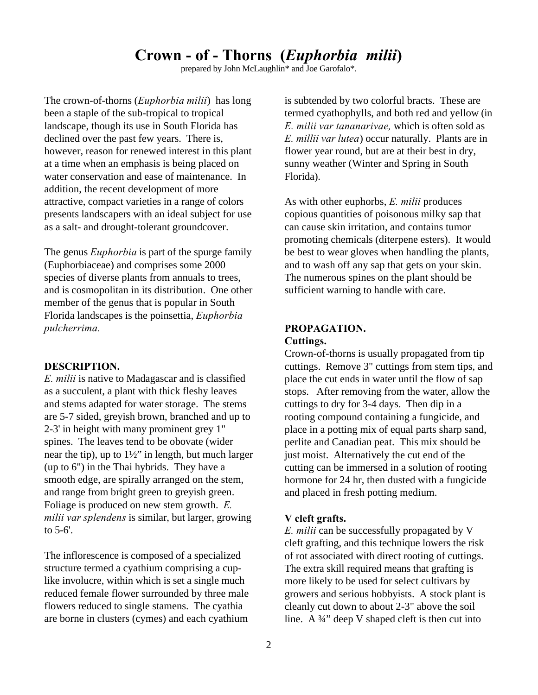# **Crown - of - Thorns (***Euphorbia milii***)**

prepared by John McLaughlin\* and Joe Garofalo\*.

The crown-of-thorns (*Euphorbia milii*) has long been a staple of the sub-tropical to tropical landscape, though its use in South Florida has declined over the past few years. There is, however, reason for renewed interest in this plant at a time when an emphasis is being placed on water conservation and ease of maintenance. In addition, the recent development of more attractive, compact varieties in a range of colors presents landscapers with an ideal subject for use as a salt- and drought-tolerant groundcover.

The genus *Euphorbia* is part of the spurge family (Euphorbiaceae) and comprises some 2000 species of diverse plants from annuals to trees, and is cosmopolitan in its distribution. One other member of the genus that is popular in South Florida landscapes is the poinsettia, *Euphorbia pulcherrima.*

### **DESCRIPTION.**

*E. milii* is native to Madagascar and is classified as a succulent, a plant with thick fleshy leaves and stems adapted for water storage. The stems are 5-7 sided, greyish brown, branched and up to 2-3' in height with many prominent grey 1" spines. The leaves tend to be obovate (wider near the tip), up to  $1\frac{1}{2}$ " in length, but much larger (up to 6") in the Thai hybrids. They have a smooth edge, are spirally arranged on the stem, and range from bright green to greyish green. Foliage is produced on new stem growth. *E. milii var splendens* is similar, but larger, growing to 5-6'.

The inflorescence is composed of a specialized structure termed a cyathium comprising a cuplike involucre, within which is set a single much reduced female flower surrounded by three male flowers reduced to single stamens. The cyathia are borne in clusters (cymes) and each cyathium is subtended by two colorful bracts. These are termed cyathophylls, and both red and yellow (in *E. milii var tananarivae,* which is often sold as *E. millii var lutea*) occur naturally. Plants are in flower year round, but are at their best in dry, sunny weather (Winter and Spring in South Florida).

As with other euphorbs, *E. milii* produces copious quantities of poisonous milky sap that can cause skin irritation, and contains tumor promoting chemicals (diterpene esters). It would be best to wear gloves when handling the plants, and to wash off any sap that gets on your skin. The numerous spines on the plant should be sufficient warning to handle with care.

# **PROPAGATION. Cuttings.**

Crown-of-thorns is usually propagated from tip cuttings. Remove 3" cuttings from stem tips, and place the cut ends in water until the flow of sap stops. After removing from the water, allow the cuttings to dry for 3-4 days. Then dip in a rooting compound containing a fungicide, and place in a potting mix of equal parts sharp sand, perlite and Canadian peat. This mix should be just moist. Alternatively the cut end of the cutting can be immersed in a solution of rooting hormone for 24 hr, then dusted with a fungicide and placed in fresh potting medium.

# **V cleft grafts.**

*E. milii* can be successfully propagated by V cleft grafting, and this technique lowers the risk of rot associated with direct rooting of cuttings. The extra skill required means that grafting is more likely to be used for select cultivars by growers and serious hobbyists. A stock plant is cleanly cut down to about 2-3" above the soil line. A  $\frac{3}{4}$ " deep V shaped cleft is then cut into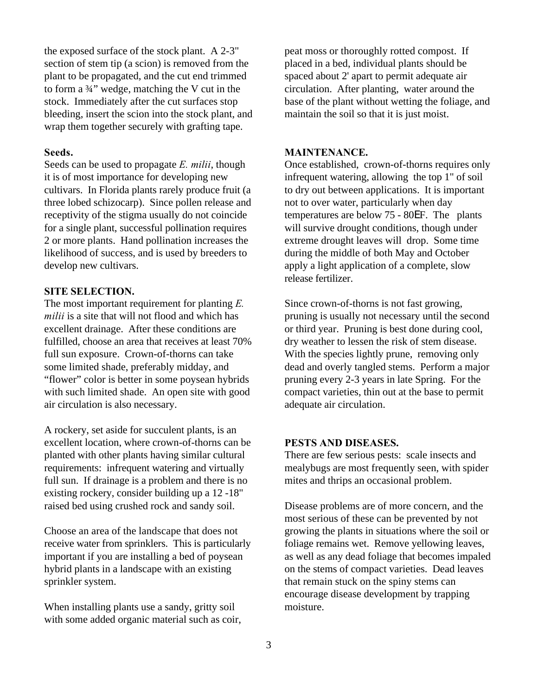the exposed surface of the stock plant. A 2-3" section of stem tip (a scion) is removed from the plant to be propagated, and the cut end trimmed to form a ¾" wedge, matching the V cut in the stock. Immediately after the cut surfaces stop bleeding, insert the scion into the stock plant, and wrap them together securely with grafting tape.

# **Seeds.**

Seeds can be used to propagate *E. milii*, though it is of most importance for developing new cultivars. In Florida plants rarely produce fruit (a three lobed schizocarp). Since pollen release and receptivity of the stigma usually do not coincide for a single plant, successful pollination requires 2 or more plants. Hand pollination increases the likelihood of success, and is used by breeders to develop new cultivars.

# **SITE SELECTION.**

The most important requirement for planting *E. milii* is a site that will not flood and which has excellent drainage. After these conditions are fulfilled, choose an area that receives at least 70% full sun exposure. Crown-of-thorns can take some limited shade, preferably midday, and "flower" color is better in some poysean hybrids with such limited shade. An open site with good air circulation is also necessary.

A rockery, set aside for succulent plants, is an excellent location, where crown-of-thorns can be planted with other plants having similar cultural requirements: infrequent watering and virtually full sun. If drainage is a problem and there is no existing rockery, consider building up a 12 -18" raised bed using crushed rock and sandy soil.

Choose an area of the landscape that does not receive water from sprinklers. This is particularly important if you are installing a bed of poysean hybrid plants in a landscape with an existing sprinkler system.

When installing plants use a sandy, gritty soil with some added organic material such as coir, peat moss or thoroughly rotted compost. If placed in a bed, individual plants should be spaced about 2' apart to permit adequate air circulation. After planting, water around the base of the plant without wetting the foliage, and maintain the soil so that it is just moist.

# **MAINTENANCE.**

Once established, crown-of-thorns requires only infrequent watering, allowing the top 1" of soil to dry out between applications. It is important not to over water, particularly when day temperatures are below 75 - 80EF. The plants will survive drought conditions, though under extreme drought leaves will drop. Some time during the middle of both May and October apply a light application of a complete, slow release fertilizer.

Since crown-of-thorns is not fast growing, pruning is usually not necessary until the second or third year. Pruning is best done during cool, dry weather to lessen the risk of stem disease. With the species lightly prune, removing only dead and overly tangled stems. Perform a major pruning every 2-3 years in late Spring. For the compact varieties, thin out at the base to permit adequate air circulation.

# **PESTS AND DISEASES.**

There are few serious pests: scale insects and mealybugs are most frequently seen, with spider mites and thrips an occasional problem.

Disease problems are of more concern, and the most serious of these can be prevented by not growing the plants in situations where the soil or foliage remains wet. Remove yellowing leaves, as well as any dead foliage that becomes impaled on the stems of compact varieties. Dead leaves that remain stuck on the spiny stems can encourage disease development by trapping moisture.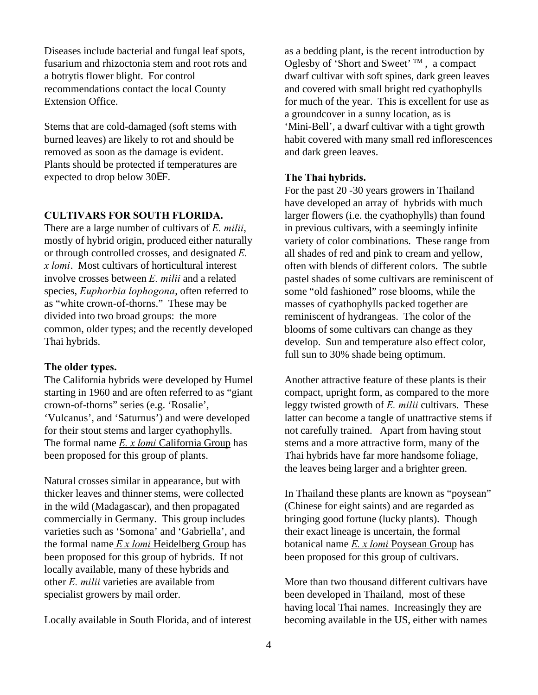Diseases include bacterial and fungal leaf spots, fusarium and rhizoctonia stem and root rots and a botrytis flower blight. For control recommendations contact the local County Extension Office.

Stems that are cold-damaged (soft stems with burned leaves) are likely to rot and should be removed as soon as the damage is evident. Plants should be protected if temperatures are expected to drop below 30EF.

# **CULTIVARS FOR SOUTH FLORIDA.**

There are a large number of cultivars of *E. milii*, mostly of hybrid origin, produced either naturally or through controlled crosses, and designated *E. x lomi*. Most cultivars of horticultural interest involve crosses between *E. milii* and a related species, *Euphorbia lophogona*, often referred to as "white crown-of-thorns." These may be divided into two broad groups: the more common, older types; and the recently developed Thai hybrids.

# **The older types.**

The California hybrids were developed by Humel starting in 1960 and are often referred to as "giant crown-of-thorns" series (e.g. 'Rosalie', 'Vulcanus', and 'Saturnus') and were developed for their stout stems and larger cyathophylls. The formal name *E. x lomi* California Group has been proposed for this group of plants.

Natural crosses similar in appearance, but with thicker leaves and thinner stems, were collected in the wild (Madagascar), and then propagated commercially in Germany. This group includes varieties such as 'Somona' and 'Gabriella', and the formal name *E x lomi* Heidelberg Group has been proposed for this group of hybrids. If not locally available, many of these hybrids and other *E. milii* varieties are available from specialist growers by mail order.

Locally available in South Florida, and of interest

as a bedding plant, is the recent introduction by Oglesby of 'Short and Sweet'  $TM$ , a compact dwarf cultivar with soft spines, dark green leaves and covered with small bright red cyathophylls for much of the year. This is excellent for use as a groundcover in a sunny location, as is 'Mini-Bell', a dwarf cultivar with a tight growth habit covered with many small red inflorescences and dark green leaves.

#### **The Thai hybrids.**

For the past 20 -30 years growers in Thailand have developed an array of hybrids with much larger flowers (i.e. the cyathophylls) than found in previous cultivars, with a seemingly infinite variety of color combinations. These range from all shades of red and pink to cream and yellow, often with blends of different colors. The subtle pastel shades of some cultivars are reminiscent of some "old fashioned" rose blooms, while the masses of cyathophylls packed together are reminiscent of hydrangeas. The color of the blooms of some cultivars can change as they develop. Sun and temperature also effect color, full sun to 30% shade being optimum.

Another attractive feature of these plants is their compact, upright form, as compared to the more leggy twisted growth of *E. milii* cultivars. These latter can become a tangle of unattractive stems if not carefully trained. Apart from having stout stems and a more attractive form, many of the Thai hybrids have far more handsome foliage, the leaves being larger and a brighter green.

In Thailand these plants are known as "poysean" (Chinese for eight saints) and are regarded as bringing good fortune (lucky plants). Though their exact lineage is uncertain, the formal botanical name *E. x lomi* Poysean Group has been proposed for this group of cultivars.

More than two thousand different cultivars have been developed in Thailand, most of these having local Thai names. Increasingly they are becoming available in the US, either with names